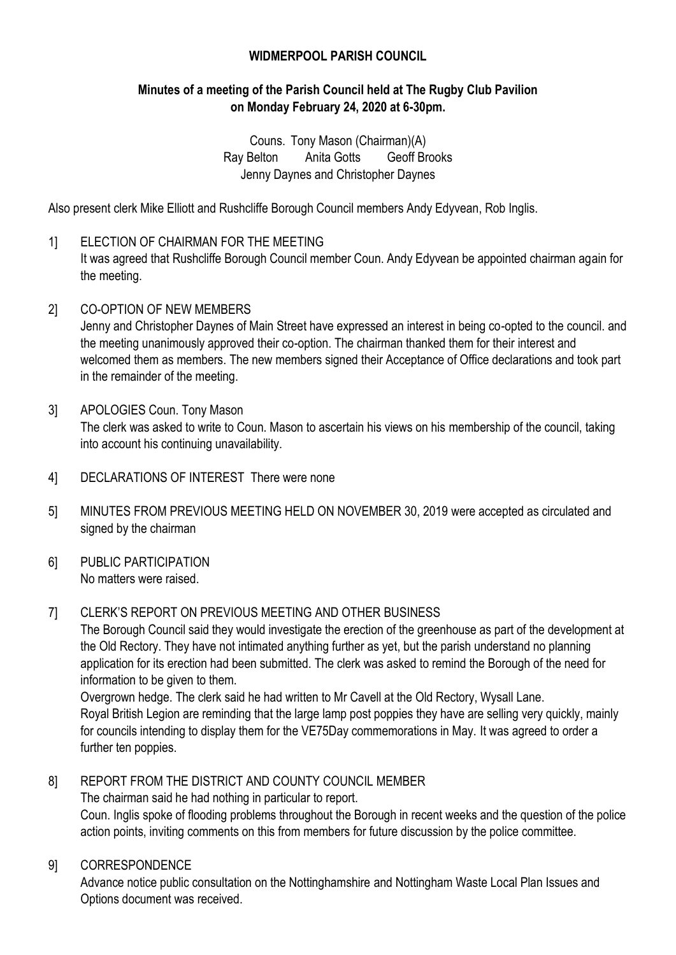# **WIDMERPOOL PARISH COUNCIL**

# **Minutes of a meeting of the Parish Council held at The Rugby Club Pavilion on Monday February 24, 2020 at 6-30pm.**

Couns. Tony Mason (Chairman)(A) Ray Belton Anita Gotts Geoff Brooks Jenny Daynes and Christopher Daynes

Also present clerk Mike Elliott and Rushcliffe Borough Council members Andy Edyvean, Rob Inglis.

- 1] ELECTION OF CHAIRMAN FOR THE MEETING It was agreed that Rushcliffe Borough Council member Coun. Andy Edyvean be appointed chairman again for the meeting.
- 2] CO-OPTION OF NEW MEMBERS

Jenny and Christopher Daynes of Main Street have expressed an interest in being co-opted to the council. and the meeting unanimously approved their co-option. The chairman thanked them for their interest and welcomed them as members. The new members signed their Acceptance of Office declarations and took part in the remainder of the meeting.

- 3] APOLOGIES Coun. Tony Mason The clerk was asked to write to Coun. Mason to ascertain his views on his membership of the council, taking into account his continuing unavailability.
- 4] DECLARATIONS OF INTEREST There were none
- 5] MINUTES FROM PREVIOUS MEETING HELD ON NOVEMBER 30, 2019 were accepted as circulated and signed by the chairman
- 6] PUBLIC PARTICIPATION No matters were raised.

#### 7] CLERK'S REPORT ON PREVIOUS MEETING AND OTHER BUSINESS

The Borough Council said they would investigate the erection of the greenhouse as part of the development at the Old Rectory. They have not intimated anything further as yet, but the parish understand no planning application for its erection had been submitted. The clerk was asked to remind the Borough of the need for information to be given to them.

Overgrown hedge. The clerk said he had written to Mr Cavell at the Old Rectory, Wysall Lane. Royal British Legion are reminding that the large lamp post poppies they have are selling very quickly, mainly for councils intending to display them for the VE75Day commemorations in May. It was agreed to order a further ten poppies.

# 8] REPORT FROM THE DISTRICT AND COUNTY COUNCIL MEMBER

The chairman said he had nothing in particular to report.

Coun. Inglis spoke of flooding problems throughout the Borough in recent weeks and the question of the police action points, inviting comments on this from members for future discussion by the police committee.

#### 9] CORRESPONDENCE

Advance notice public consultation on the Nottinghamshire and Nottingham Waste Local Plan Issues and Options document was received.